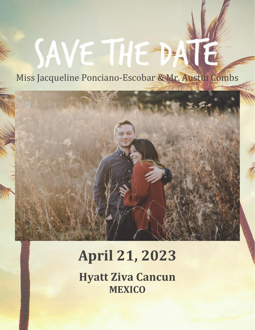## Miss Jacqueline Ponciano-Escobar & Mr. Austin Combs

SAVE THE DAI



# **April 21, 2023**

**Hyatt Ziva Cancun MEXICO**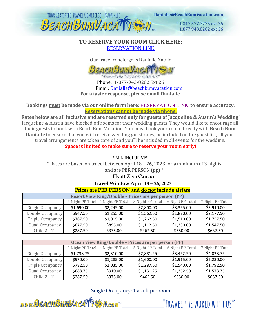

1.317.577.7775 ext 26 1.877,943,8282 ext 26

"TRAVFI THE WORLD WITH US"

#### **TO RESERVE YOUR ROOM CLICK HERE:** [RESERVATION LINK](https://www.vacationcrm.com/IFrameRegistration/Group?lookupid=f04af814-d522-4b01-b822-4cdfa9b048e2&groupid=958875c4-a2c0-4f54-8dba-7b087916f547) \_\_\_\_\_\_\_\_\_\_\_\_\_\_\_\_\_\_\_\_\_\_\_\_\_\_\_\_\_\_\_\_\_\_\_\_\_\_\_\_\_\_\_\_\_\_\_\_\_\_\_\_\_\_\_\_\_\_\_\_\_\_\_\_\_\_\_\_\_\_\_\_\_\_\_\_\_\_\_\_\_\_\_\_\_\_\_\_\_\_\_\_\_\_\_\_\_\_\_\_\_\_\_\_\_\_\_\_\_\_\_\_\_\_\_\_

Our travel concierge is Danialle Natale



Travel the WORLD with US Phone: 1-877-943-8282 Ext 26 Email: [Danialle@beachbumvacation.com](mailto:Danialle@beachbumvacation.com) **For a faster response, please email Danialle.**

#### **Bookings must be made via our online form here:** [RESERVATION LINK](https://www.vacationcrm.com/IFrameRegistration/Group?lookupid=f04af814-d522-4b01-b822-4cdfa9b048e2&groupid=958875c4-a2c0-4f54-8dba-7b087916f547) **[t](http://www.beachbumvacation.com/reservation)o ensure accuracy. Reservations cannot be made via phone.**

**Rates below are all inclusive and are reserved only for guests of Jacqueline & Austin's Wedding!** Jacqueline & Austin have blocked off rooms for their wedding guests. They would like to encourage all their guests to book with Beach Bum Vacation. You must book your room directly with **Beach Bum Danialle** to ensure that you will receive wedding guest rates, be included on the guest list, all your travel arrangements are taken care of and you'll be included in all events for the wedding.

**Space is limited so make sure to reserve your room early!**

\*ALL-INCLUSIVE\*

\* Rates are based on travel between April 18 – 26, 2023 for a minimum of 3 nights and are PER PERSON (pp) \*

## **Hyatt Ziva Cancun**

**Travel Window April 18 – 26, 2023**

### **Prices are PER PERSON and do not include airfare**

| <b>Resort View King/Double - Prices are per person (PP)</b> |                  |                  |                  |                  |                  |  |  |  |
|-------------------------------------------------------------|------------------|------------------|------------------|------------------|------------------|--|--|--|
|                                                             | 3 Night PP Total | 4 Night PP Total | 5 Night PP Total | 6 Night PP Total | 7 Night PP Total |  |  |  |
| Single Occupancy                                            | \$1,690.00       | \$2,245.00       | \$2,800.00       | \$3,355.00       | \$3,910.00       |  |  |  |
| Double Occupancy                                            | \$947.50         | \$1,255.00       | \$1,562.50       | \$1,870.00       | \$2,177.50       |  |  |  |
| Triple Occupancy                                            | \$767.50         | \$1,015.00       | \$1,262.50       | \$1,510.00       | \$1,757.50       |  |  |  |
| Quad Occupancy                                              | \$677.50         | \$895.00         | \$1,112.50       | \$1,330.00       | \$1,547.50       |  |  |  |
| Child 2 - 12                                                | \$287.50         | \$375.00         | \$462.50         | \$550.00         | \$637.50         |  |  |  |

| Ocean View King/Double - Prices are per person (PP) |                  |                  |                  |                  |                  |  |  |  |
|-----------------------------------------------------|------------------|------------------|------------------|------------------|------------------|--|--|--|
|                                                     | 3 Night PP Total | 4 Night PP Total | 5 Night PP Total | 6 Night PP Total | 7 Night PP Total |  |  |  |
| Single Occupancy                                    | \$1,738.75       | \$2,310.00       | \$2,881.25       | \$3,452.50       | \$4,023.75       |  |  |  |
| Double Occupancy                                    | \$970.00         | \$1,285.00       | \$1,600.00       | \$1,915.00       | \$2,230.00       |  |  |  |
| Triple Occupancy                                    | \$782.50         | \$1,035.00       | \$1,287.50       | \$1,540.00       | \$1,792.50       |  |  |  |
| Quad Occupancy                                      | \$688.75         | \$910.00         | \$1,131.25       | \$1,352.50       | \$1,573.75       |  |  |  |
| Child 2 - 12                                        | \$287.50         | \$375.00         | \$462.50         | \$550.00         | \$637.50         |  |  |  |

Single Occupancy: 1 adult per room

www.BEACHBUMVACATTEN.com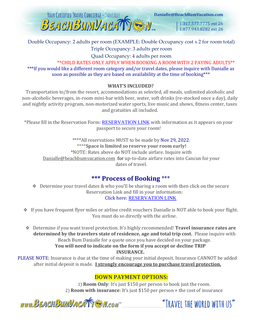

1.317.577.7775 ext 26 1.877.943.8282 ext 26

## Double Occupancy: 2 adults per room (EXAMPLE: Double Occupancy cost x 2 for room total)

Triple Occupancy: 3 adults per room

Quad Occupancy: 4 adults per room

\*\*CHILD RATES ONLY APPLY WHEN BOOKING A ROOM WITH 2 PAYING ADULTS\*\* \*\*\*If you would like a different room category and/or travel dates, please inquire with Danialle as soon as possible as they are based on availability at the time of booking\*\*\*

## **WHAT'S INCLUDED?**

Transportation to/from the resort, accommodations as selected, all meals, unlimited alcoholic and non-alcoholic beverages, in-room mini-bar with beer, water, soft drinks (re-stocked once a day), daily and nightly activity program, non-motorized water sports, live music and shows, fitness center, taxes and gratuities all included.

\*Please fill in the Reservation Form: [RESERVATION LINK](https://www.vacationcrm.com/IFrameRegistration/Group?lookupid=f04af814-d522-4b01-b822-4cdfa9b048e2&groupid=958875c4-a2c0-4f54-8dba-7b087916f547) [w](http://www.beachbumvacation.com/reservation)ith information as it appears on your passport to secure your room!

\*\*\*\*All reservations MUST to be made by Nov 29, 2022. \*\*\*\***Space is limited so reserve your room early!** \*NOTE: Rates above do NOT include airfare. Inquire with Danialle@beachbumvacation.com for up-to-date airfare rates into Cancun for your dates of travel.

## **\*\*\* Process of Booking** \*\*\*

- ❖ Determine your travel dates & who you'll be sharing a room with then click on the secure Reservation Link and fill in your information: Click here: [RESERVATION LINK](https://www.vacationcrm.com/IFrameRegistration/Group?lookupid=f04af814-d522-4b01-b822-4cdfa9b048e2&groupid=958875c4-a2c0-4f54-8dba-7b087916f547)
- ❖ If you have frequent flyer miles or airline credit vouchers Danialle is NOT able to book your flight. You must do so directly with the airline.

❖ Determine if you want travel protection. It's highly recommended! **Travel insurance rates are determined by the travelers state of residence, age and total trip cost.** Please inquire with Beach Bum Danialle for a quote once you have decided on your package. **You will need to indicate on the form if you accept or decline TRIP INSURANCE.**

PLEASE NOTE: Insurance is due at the time of making your initial deposit. Insurance CANNOT be added after initial deposit is made. **I strongly encourage you to purchase travel protection.**

## **DOWN PAYMENT OPTIONS:**

1) **Room Only**: It's just \$150 per person to book just the room. 2) **Room with insurance**: It's just \$150 per person + the cost of insurance

www.BEACHBUMVACATTEN.com

"TRAVFI THE WORLD WITH US"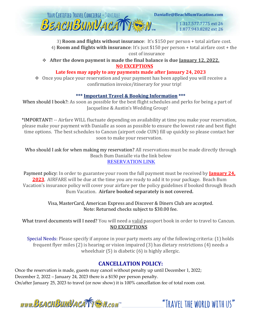

3) **Room and flights without insurance**: It's \$150 per person + total airfare cost. 4) **Room and flights with insurance**: It's just \$150 per person + total airfare cost + the cost of insurance

❖ **After the down payment is made the final balance is due January 12, 2022. NO EXCEPTIONS**

### **Late fees may apply to any payments made after January 24, 2023**

❖ Once you place your reservation and your payment has been applied you will receive a confirmation invoice/itinerary for your trip!

#### **\*\*\* Important Travel & Booking Information \*\*\***

When should I book?: As soon as possible for the best flight schedules and perks for being a part of Jacqueline & Austin's Wedding Group!

\*IMPORTANT! -- Airfare WILL fluctuate depending on availability at time you make your reservation, please make your payment with Danialle as soon as possible to ensure the lowest rate and best flight time options. The best schedules to Cancun (airport code CUN) fill up quickly so please contact her soon to make your reservation.

Who should I ask for when making my reservation? All reservations must be made directly through Beach Bum Danialle via the link below [RESERVATION LINK](https://www.vacationcrm.com/IFrameRegistration/Group?lookupid=f04af814-d522-4b01-b822-4cdfa9b048e2&groupid=958875c4-a2c0-4f54-8dba-7b087916f547)

Payment policy: In order to guarantee your room the full payment must be received by **January 24 2023**. AIRFARE will be due at the time you are ready to add it to your package. Beach Bum Vacation's insurance policy will cover your airfare per the policy guidelines if booked through Beach Bum Vacation. **Airfare booked separately is not covered.**

> Visa, MasterCard, American Express and Discover & Diners Club are accepted. Note: Returned checks subject to \$30.00 fee.

What travel documents will I need? You will need a valid passport book in order to travel to Cancun. **NO EXCEPTIONS**

Special Needs: Please specify if anyone in your party meets any of the following criteria: (1) holds frequent flyer miles (2) is hearing or vision impaired (3) has dietary restrictions (4) needs a wheelchair (5) is diabetic (6) is highly allergic.

## **CANCELLATION POLICY:**

Once the reservation is made, guests may cancel without penalty up until December 1, 2022; December 2, 2022 – January 24, 2023 there is a \$150 per person penalty. On/after January 25, 2023 to travel (or now show) it is 100% cancellation fee of total room cost.